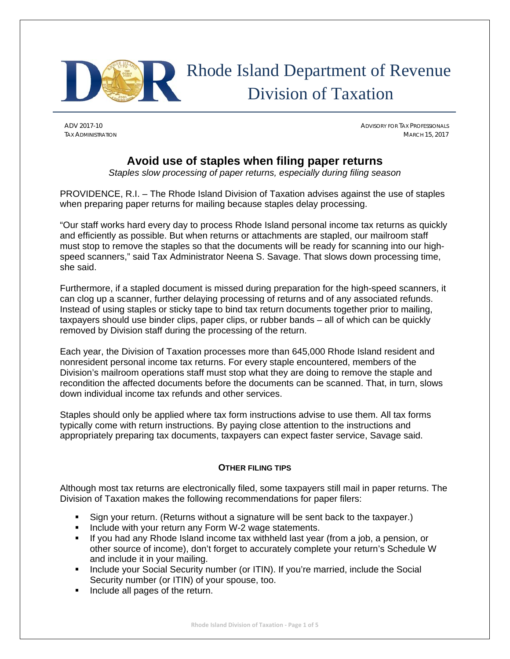

# Rhode Island Department of Revenue Division of Taxation

ADV 2017-10 ADVISORY FOR TAX PROFESSIONALS TAX ADMINISTRATION MARCH 15, 2017

### **Avoid use of staples when filing paper returns**

*Staples slow processing of paper returns, especially during filing season* 

PROVIDENCE, R.I. – The Rhode Island Division of Taxation advises against the use of staples when preparing paper returns for mailing because staples delay processing.

"Our staff works hard every day to process Rhode Island personal income tax returns as quickly and efficiently as possible. But when returns or attachments are stapled, our mailroom staff must stop to remove the staples so that the documents will be ready for scanning into our highspeed scanners," said Tax Administrator Neena S. Savage. That slows down processing time, she said.

Furthermore, if a stapled document is missed during preparation for the high-speed scanners, it can clog up a scanner, further delaying processing of returns and of any associated refunds. Instead of using staples or sticky tape to bind tax return documents together prior to mailing, taxpayers should use binder clips, paper clips, or rubber bands – all of which can be quickly removed by Division staff during the processing of the return.

Each year, the Division of Taxation processes more than 645,000 Rhode Island resident and nonresident personal income tax returns. For every staple encountered, members of the Division's mailroom operations staff must stop what they are doing to remove the staple and recondition the affected documents before the documents can be scanned. That, in turn, slows down individual income tax refunds and other services.

Staples should only be applied where tax form instructions advise to use them. All tax forms typically come with return instructions. By paying close attention to the instructions and appropriately preparing tax documents, taxpayers can expect faster service, Savage said.

#### **OTHER FILING TIPS**

Although most tax returns are electronically filed, some taxpayers still mail in paper returns. The Division of Taxation makes the following recommendations for paper filers:

- Sign your return. (Returns without a signature will be sent back to the taxpayer.)
- **Include with your return any Form W-2 wage statements.**
- If you had any Rhode Island income tax withheld last year (from a job, a pension, or other source of income), don't forget to accurately complete your return's Schedule W and include it in your mailing.
- **Include your Social Security number (or ITIN). If you're married, include the Social** Security number (or ITIN) of your spouse, too.
- **Include all pages of the return.**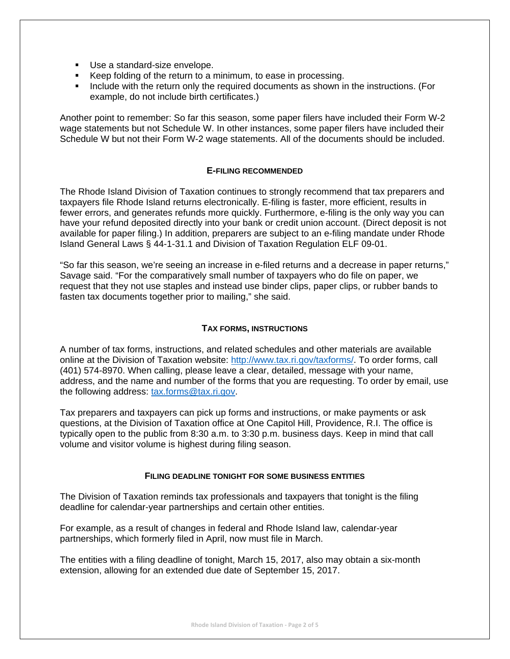- Use a standard-size envelope.
- Keep folding of the return to a minimum, to ease in processing.
- Include with the return only the required documents as shown in the instructions. (For example, do not include birth certificates.)

Another point to remember: So far this season, some paper filers have included their Form W-2 wage statements but not Schedule W. In other instances, some paper filers have included their Schedule W but not their Form W-2 wage statements. All of the documents should be included.

#### **E-FILING RECOMMENDED**

The Rhode Island Division of Taxation continues to strongly recommend that tax preparers and taxpayers file Rhode Island returns electronically. E-filing is faster, more efficient, results in fewer errors, and generates refunds more quickly. Furthermore, e-filing is the only way you can have your refund deposited directly into your bank or credit union account. (Direct deposit is not available for paper filing.) In addition, preparers are subject to an e-filing mandate under Rhode Island General Laws § 44-1-31.1 and Division of Taxation Regulation ELF 09-01.

"So far this season, we're seeing an increase in e-filed returns and a decrease in paper returns," Savage said. "For the comparatively small number of taxpayers who do file on paper, we request that they not use staples and instead use binder clips, paper clips, or rubber bands to fasten tax documents together prior to mailing," she said.

#### **TAX FORMS, INSTRUCTIONS**

A number of tax forms, instructions, and related schedules and other materials are available online at the Division of Taxation website: http://www.tax.ri.gov/taxforms/. To order forms, call (401) 574-8970. When calling, please leave a clear, detailed, message with your name, address, and the name and number of the forms that you are requesting. To order by email, use the following address: tax.forms@tax.ri.gov.

Tax preparers and taxpayers can pick up forms and instructions, or make payments or ask questions, at the Division of Taxation office at One Capitol Hill, Providence, R.I. The office is typically open to the public from 8:30 a.m. to 3:30 p.m. business days. Keep in mind that call volume and visitor volume is highest during filing season.

#### **FILING DEADLINE TONIGHT FOR SOME BUSINESS ENTITIES**

The Division of Taxation reminds tax professionals and taxpayers that tonight is the filing deadline for calendar-year partnerships and certain other entities.

For example, as a result of changes in federal and Rhode Island law, calendar-year partnerships, which formerly filed in April, now must file in March.

The entities with a filing deadline of tonight, March 15, 2017, also may obtain a six-month extension, allowing for an extended due date of September 15, 2017.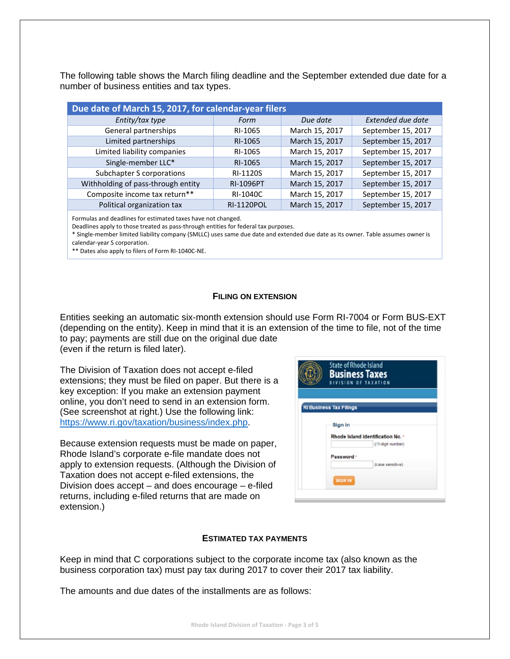The following table shows the March filing deadline and the September extended due date for a number of business entities and tax types.

| Due date of March 15, 2017, for calendar-year filers |                   |                |                    |  |  |  |
|------------------------------------------------------|-------------------|----------------|--------------------|--|--|--|
| Entity/tax type                                      | Form              | Due date       | Extended due date  |  |  |  |
| General partnerships                                 | RI-1065           | March 15, 2017 | September 15, 2017 |  |  |  |
| Limited partnerships                                 | RI-1065           | March 15, 2017 | September 15, 2017 |  |  |  |
| Limited liability companies                          | RI-1065           | March 15, 2017 | September 15, 2017 |  |  |  |
| Single-member LLC*                                   | RI-1065           | March 15, 2017 | September 15, 2017 |  |  |  |
| Subchapter S corporations                            | RI-1120S          | March 15, 2017 | September 15, 2017 |  |  |  |
| Withholding of pass-through entity                   | <b>RI-1096PT</b>  | March 15, 2017 | September 15, 2017 |  |  |  |
| Composite income tax return**                        | RI-1040C          | March 15, 2017 | September 15, 2017 |  |  |  |
| Political organization tax                           | <b>RI-1120POL</b> | March 15, 2017 | September 15, 2017 |  |  |  |

Formulas and deadlines for estimated taxes have not changed.

Deadlines apply to those treated as pass-through entities for federal tax purposes.

\* Single‐member limited liability company (SMLLC) uses same due date and extended due date as its owner. Table assumes owner is calendar‐year S corporation.

\*\* Dates also apply to filers of Form RI‐1040C‐NE.

#### **FILING ON EXTENSION**

Entities seeking an automatic six-month extension should use Form RI-7004 or Form BUS-EXT (depending on the entity). Keep in mind that it is an extension of the time to file, not of the time to pay; payments are still due on the original due date (even if the return is filed later).

The Division of Taxation does not accept e-filed extensions; they must be filed on paper. But there is a key exception: If you make an extension payment online, you don't need to send in an extension form. (See screenshot at right.) Use the following link: https://www.ri.gov/taxation/business/index.php.

Because extension requests must be made on paper, Rhode Island's corporate e-file mandate does not apply to extension requests. (Although the Division of Taxation does not accept e-filed extensions, the Division does accept – and does encourage – e-filed returns, including e-filed returns that are made on extension.)

| <b>State of Rhode Island</b><br><b>Business Taxes</b><br>DIVISION OF TAXATION  |  |  |
|--------------------------------------------------------------------------------|--|--|
| <b>RI Business Tax Filings</b><br>Sign in<br>Rhode Island Identification No. * |  |  |
| (11-digit number)                                                              |  |  |
| Password ·<br>(case sensitive)                                                 |  |  |
| <b>SIGN IN</b>                                                                 |  |  |

#### **ESTIMATED TAX PAYMENTS**

Keep in mind that C corporations subject to the corporate income tax (also known as the business corporation tax) must pay tax during 2017 to cover their 2017 tax liability.

The amounts and due dates of the installments are as follows: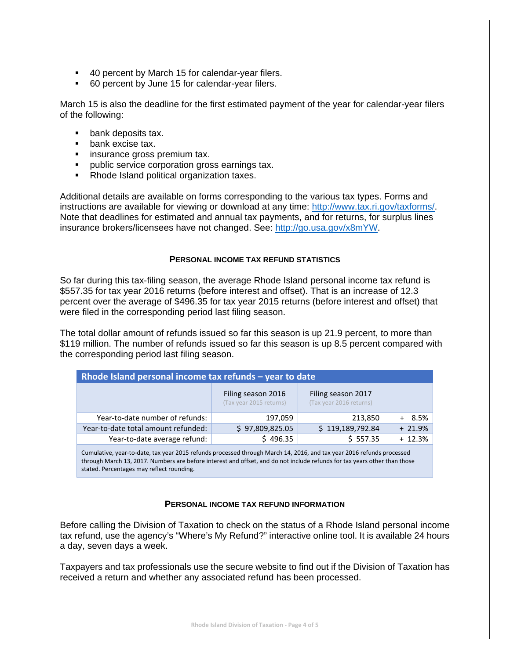- 40 percent by March 15 for calendar-year filers.
- 60 percent by June 15 for calendar-year filers.

March 15 is also the deadline for the first estimated payment of the year for calendar-year filers of the following:

- **bank deposits tax.**
- **bank excise tax.**
- **EXECUTE:** insurance gross premium tax.
- **public service corporation gross earnings tax.**
- Rhode Island political organization taxes.

Additional details are available on forms corresponding to the various tax types. Forms and instructions are available for viewing or download at any time: http://www.tax.ri.gov/taxforms/. Note that deadlines for estimated and annual tax payments, and for returns, for surplus lines insurance brokers/licensees have not changed. See: http://go.usa.gov/x8mYW.

#### **PERSONAL INCOME TAX REFUND STATISTICS**

So far during this tax-filing season, the average Rhode Island personal income tax refund is \$557.35 for tax year 2016 returns (before interest and offset). That is an increase of 12.3 percent over the average of \$496.35 for tax year 2015 returns (before interest and offset) that were filed in the corresponding period last filing season.

The total dollar amount of refunds issued so far this season is up 21.9 percent, to more than \$119 million. The number of refunds issued so far this season is up 8.5 percent compared with the corresponding period last filing season.

| Rhode Island personal income tax refunds - year to date |                                               |                                               |           |  |  |  |
|---------------------------------------------------------|-----------------------------------------------|-----------------------------------------------|-----------|--|--|--|
|                                                         | Filing season 2016<br>(Tax year 2015 returns) | Filing season 2017<br>(Tax year 2016 returns) |           |  |  |  |
| Year-to-date number of refunds:                         | 197,059                                       | 213,850                                       | 8.5%      |  |  |  |
| Year-to-date total amount refunded:                     | \$97,809,825.05                               | \$119,189,792.84                              | $+21.9%$  |  |  |  |
| Year-to-date average refund:                            | \$496.35                                      | \$557.35                                      | $+ 12.3%$ |  |  |  |

Cumulative, year‐to‐date, tax year 2015 refunds processed through March 14, 2016, and tax year 2016 refunds processed through March 13, 2017. Numbers are before interest and offset, and do not include refunds for tax years other than those stated. Percentages may reflect rounding.

#### **PERSONAL INCOME TAX REFUND INFORMATION**

Before calling the Division of Taxation to check on the status of a Rhode Island personal income tax refund, use the agency's "Where's My Refund?" interactive online tool. It is available 24 hours a day, seven days a week.

Taxpayers and tax professionals use the secure website to find out if the Division of Taxation has received a return and whether any associated refund has been processed.